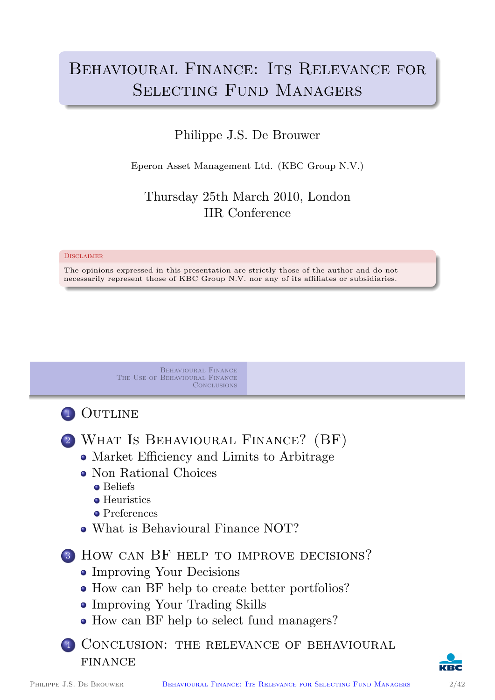# BEHAVIOURAL FINANCE: ITS RELEVANCE FOR SELECTING FUND MANAGERS

#### Philippe J.S. De Brouwer

Eperon Asset Management Ltd. (KBC Group N.V.)

#### Thursday 25th March 2010, London IIR Conference

#### **DISCLAIMER**

The opinions expressed in this presentation are strictly those of the author and do not necessarily represent those of KBC Group N.V. nor any of its affiliates or subsidiaries.

> Behavioural Finance The Use of Behavioural Finance **CONCLUSIONS**



- <sup>2</sup> What Is Behavioural Finance? (BF)
	- Market Efficiency and Limits to Arbitrage
	- [Non Ratio](#page-1-0)nal Choices
		- **•** [Beliefs](#page-13-0)
		- **•** Heuristics
		- **•** Preferences
	- [What is Behavioural F](#page-1-0)inance NOT?

[3](#page-7-0) [How ca](#page-6-0)n BF help to improve decisions?

- Improving Your Decisions
- [How can BF help](#page-12-0) to create better portfolios?
- [Improving Your Trading S](#page-13-0)kills
- [How can BF help to se](#page-13-0)lect fund managers?
- <sup>4</sup> [Conclusion:](#page-14-0) the relevance of behavioural FINANCE

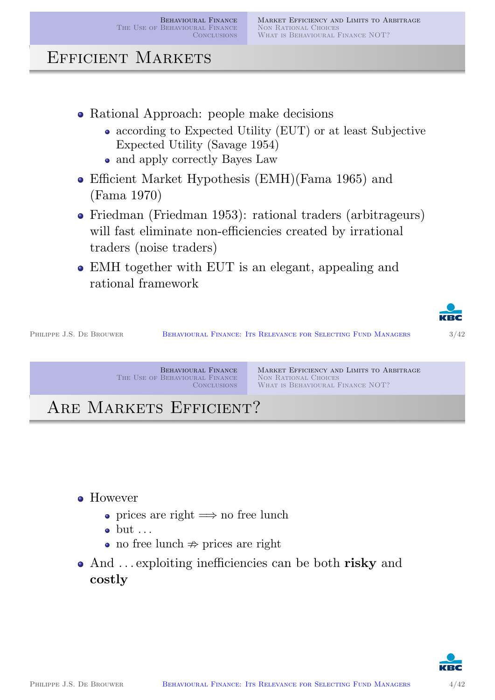### Efficient Markets

- Rational Approach: people make decisions
	- according to Expected Utility (EUT) or at least Subjective Expected Utility (Savage 1954)
	- and apply correctly Bayes Law
- Efficient Market Hypothesis (EMH)(Fama 1965) and (Fama 1970)
- Friedman (Friedman 1953): rational traders (arbitrageurs) will fast eliminate non-efficiencies created by irrational traders (noise traders)
- EMH together with EUT is an elegant, appealing and rational framework



PHILIPPE J.S. DE BROUWER BEHAVIOURAL FINANCE: ITS RELEVANCE FOR SELECTING FUND MANAGERS 3/42

Behavioural Finance The Use of Behavioural Finance **CONCLUSIONS**  Market Efficiency and Limits to Arbitrage NON RATIONAL CHOICES WHAT IS BEHAVIOURAL FINANCE NOT?

ARE MARKETS EFFICIENT?

**•** [However](#page-16-0)

- prices are right  $\implies$  no free lunch
- $\bullet$  but  $\ldots$
- no free lunch  $\Rightarrow$  prices are right
- And ... exploiting inefficiencies can be both risky and costly

<span id="page-1-0"></span>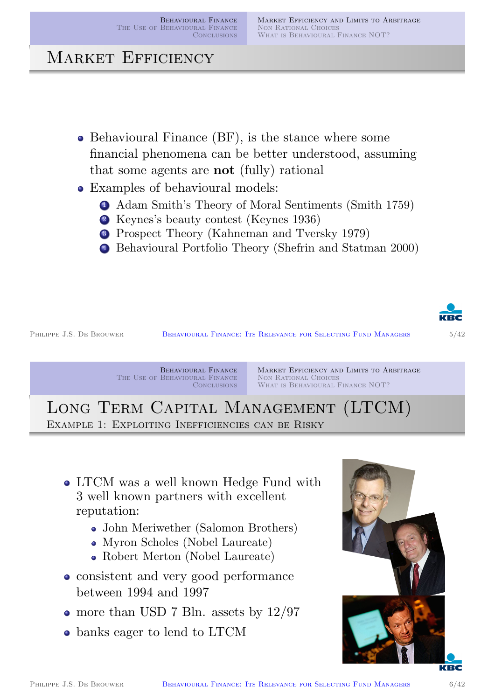Market Efficiency and Limits to Arbitrage Non Rational Choices WHAT IS BEHAVIOURAL FINANCE NOT?

# MARKET EFFICIENCY

- Behavioural Finance (BF), is the stance where some financial phenomena can be better understood, assuming that some agents are not (fully) rational
- Examples of behavioural models:
	- <sup>1</sup> Adam Smith's Theory of Moral Sentiments (Smith 1759)
	- <sup>2</sup> Keynes's beauty contest (Keynes 1936)
	- <sup>3</sup> Prospect Theory (Kahneman and Tversky 1979)
	- <sup>4</sup> Behavioural Portfolio Theory (Shefrin and Statman 2000)



PHILIPPE J.S. DE BROUWER BEHAVIOURAL FINANCE: ITS RELEVANCE FOR SELECTING FUND MANAGERS 5/42

Behavioural Finance The Use of Behavioural Finance **CONCLUSIONS**  Market Efficiency and Limits to Arbitrage NON RATIONAL CHOICES WHAT IS BEHAVIOURAL FINANCE NOT?

Long Term Capital Management (LTCM) Example 1: Exploiting Inefficiencies can be Risky

- [LTCM](#page-1-0)[was](#page-1-0)[a](#page-1-0)[well](#page-1-0)[known](#page-1-0)[Hedge](#page-1-0)[Fund](#page-1-0)[w](#page-1-0)ith [3 well known](#page-16-0) [partners with excellent](#page-12-0) reputation:
	- John Meriwether (Salomon Brothers)
	- Myron Scholes (Nobel Laureate)
	- Robert Merton (Nobel Laureate)
- consistent and very good performance between 1994 and 1997
- more than U[SD 7 Bln](#page-18-0). a[ssets by](#page-19-1) 12/97
- banks e[ager to lend](#page-18-1)[to](#page-18-1)[LTC](#page-18-1)[M](#page-19-2)

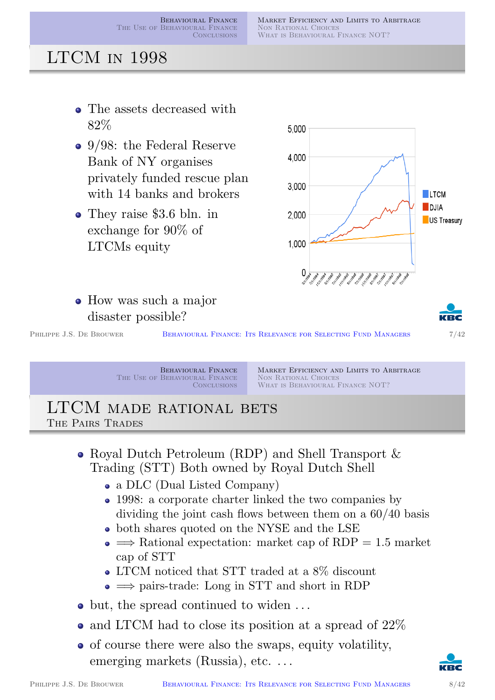MARKET EFFICIENCY AND LIMITS TO ARBITRAGE NON RATIONAL CHOICES WHAT IS BEHAVIOURAL FINANCE NOT?

### LTCM in 1998

- The assets decreased with 82%
- 9/98: the Federal Reserve Bank of NY organises privately funded rescue plan with 14 banks and brokers
- They raise \$3.6 bln. in exchange for 90% of LTCMs equity







PHILIPPE J.S. DE BROUWER BEHAVIOURAL FINANCE: ITS RELEVANCE FOR SELECTING FUND MANAGERS 7/42

Behavioural Finance The Use of Behavioural Finance **CONCLUSIONS** 

Market Efficiency and Limits to Arbitrage NON RATIONAL CHOICES WHAT IS BEHAVIOURAL FINANCE NOT?

#### LTCM made rational bets The Pairs Trades

- Royal Dutch Petroleum (RDP) and Shell Transport & Trading (STT) Both owned by Royal Dutch Shell
	- [a DLC](#page-13-0) [\(Dual Listed Company\)](#page-6-0)
	- 1998: a corporate charter linked the two companies by dividing the joint cash flows between them on a 60/40 basis
	- both shares quoted on the NYSE and the LSE
	- $\bullet \implies$  Rational expectation: market cap of RDP = 1.5 market cap of STT
	- LTCM noticed that STT traded at a 8% discount
	- $\bullet \implies$  pairs-trade: Long in STT and short in RDP
- but, the spread continued to widen ...
- $\bullet$  and LTCM had to close its position at a spread of  $22\%$
- of course there were also the swaps, equity volatility, emerging markets (Russia), etc...

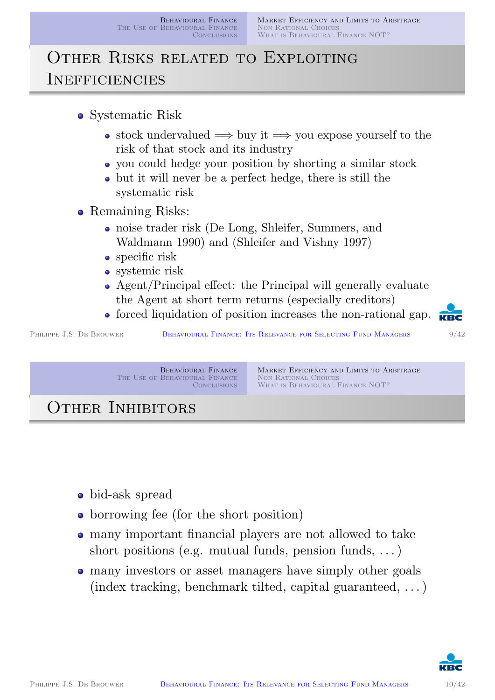# Other Risks related to Exploiting **INEFFICIENCIES**

- stock undervalued  $\implies$  buy it  $\implies$  you expose yourself to the risk of that stock and its industry
- you could hedge your position by shorting a similar stock
- but it will never be a perfect hedge, there is still the systematic risk
- Remaining Risks:
	- noise trader risk (De Long, Shleifer, Summers, and Waldmann 1990) and (Shleifer and Vishny 1997)
	- specific risk
	- systemic risk
	- Agent/Principal effect: the Principal will generally evaluate the Agent at short term returns (especially creditors)
	- forced liquidation of position increases the non-rational gap.

PHILIPPE J.S. DE BROUWER BEHAVIOURAL FINANCE: ITS RELEVANCE FOR SELECTING FUND MANAGERS 9/42

Behavioural Finance The Use of Behavioural Finance **CONCLUSIONS**  Market Efficiency and Limits to Arbitrage NON RATIONAL CHOICES WHAT IS BEHAVIOURAL FINANCE NOT?

OTHER INHIBITORS

- [bid-ask spr](#page-16-0)[ead](#page-12-0)
- borrowing fee (for the short position)
- many important financial players are not allowed to take short positions (e.g. mutual funds, pension funds,  $\dots$ )
- many investors or asset managers have simply other goals (index tracking, benchmark tilted, capital guaranteed, . . . )

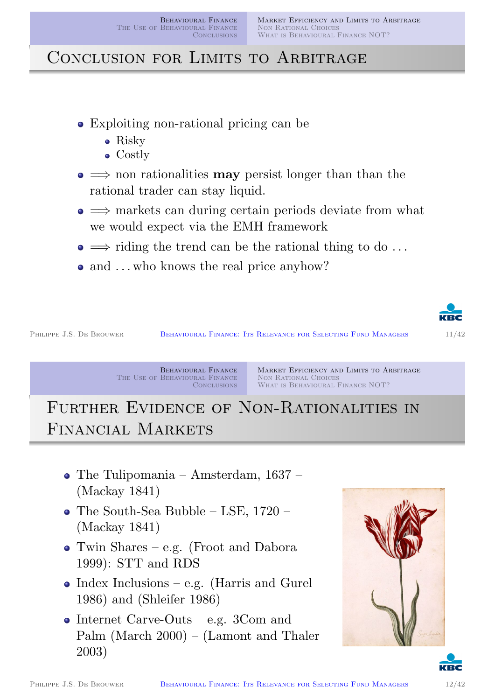# CONCLUSION FOR LIMITS TO ARBITRAGE

- Exploiting non-rational pricing can be
	- Risky
	- Costly
- $\bullet \implies$  non rationalities **may** persist longer than than the rational trader can stay liquid.
- $\bullet \implies$  markets can during certain periods deviate from what we would expect via the EMH framework
- $\bullet \implies$  riding the trend can be the rational thing to do ...
- and ... who knows the real price anyhow?



PHILIPPE J.S. DE BROUWER BEHAVIOURAL FINANCE: ITS RELEVANCE FOR SELECTING FUND MANAGERS 11/42

Behavioural Finance The Use of Behavioural Finance **CONCLUSIONS**  Market Efficiency and Limits to Arbitrage NON RATIONAL CHOICES WHAT IS BEHAVIOURAL FINANCE NOT?

# FURTHER EVIDENCE OF NON-RATIONALITIES IN Financial Markets

- [The Tulipomania Amsterdam, 1637 –](#page-1-0) [\(Mackay 184](#page-16-0)[1\)](#page-12-0)
- The South-Sea Bubble LSE, 1720 (Mackay 1841)
- Twin Shares e.g. (Froot and Dabora [19](#page-18-2)99): STT and RDS
- $\bullet$  [In](#page-18-2)dex Inclusions e.g. (Harris and Gurel 1986) [and \(Shleifer 198](#page-17-0)6)
- Internet Carve-Outs e.g.  $3$ Com and [Palm \(M](#page-19-3)[arch 2000\) – \(](#page-18-3)Lamont and Thaler 2003)



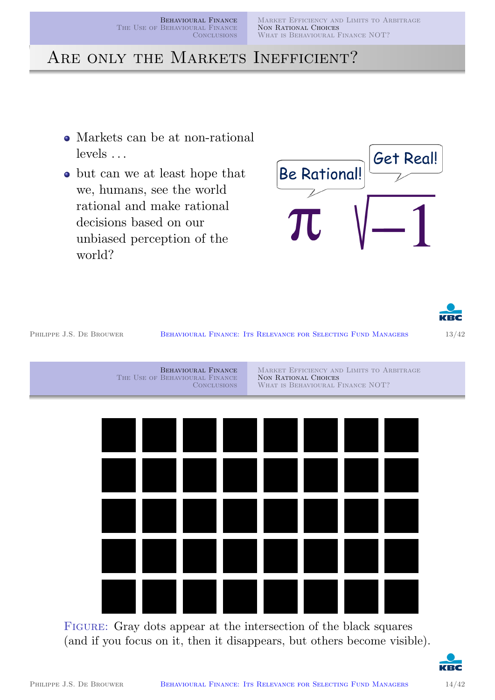Behavioural Finance The Use of Behavioural Finance **CONCLUSIONS** 

MARKET EFFICIENCY AND LIMITS TO ARBITRAGE NON RATIONAL CHOICES WHAT IS BEHAVIOURAL FINANCE NOT?

### ARE ONLY THE MARKETS INEFFICIENT?

- Markets can be at non-rational levels . . .
- but can we at least hope that we, humans, see the world rational and make rational decisions based on our unbiased perception of the world?





PHILIPPE J.S. DE BROUWER BEHAVIOURAL FINANCE: ITS RELEVANCE FOR SELECTING FUND MANAGERS 13/42

BEHAVIOURAL FINANCE The Use of Behavioural Finance **CONCLUSIONS** MARKET EFFICIENCY AND LIMITS TO ARBITRAGE NON RATIONAL CHOICES WHAT IS BEHAVIOURAL FINANCE NOT?

FIGURE: Gray dots appear at the intersection of the black squares (and if you focus on it, then it disappears, but others become visible).

<span id="page-6-0"></span>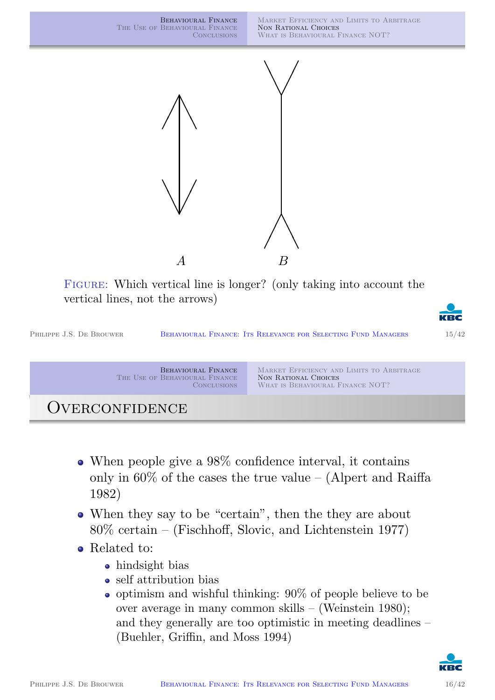

FIGURE: Which vertical line is longer? (only taking into account the vertical lines, not the arrows)



| PHILIPPE J.S. DE BROUWER | BEHAVIOURAL FINANCE: ITS RELEVANCE FOR SELECTING FUND MANAGERS              |                                                                                                       | 15/42 |
|--------------------------|-----------------------------------------------------------------------------|-------------------------------------------------------------------------------------------------------|-------|
|                          | BEHAVIOURAL FINANCE<br>THE USE OF BEHAVIOURAL FINANCE<br><b>CONCLUSIONS</b> | MARKET EFFICIENCY AND LIMITS TO ARBITRAGE<br>NON RATIONAL CHOICES<br>WHAT IS BEHAVIOURAL FINANCE NOT? |       |

### OVERCONFIDENCE

- When people give a 98% confidence interval, it contains only in  $60\%$  of the cases the true value – (Alpert and Raiffa [1982\)](#page-16-0)
- When they say to be "certain", then the they are about 80% certain – (Fischhoff, Slovic, and Lichtenstein 1977)
- Related to:
	- hindsight bias
	- self attribution bias
	- $\bullet$  [optimism and wishful think](#page-17-1)ing: 90% of people believe to be over average in many common skills – (Weinstein 1980); and they generally are too optimistic in meeting deadlines – (Buehler, Griffin[, and Moss](#page-19-4) 1994)

<span id="page-7-0"></span>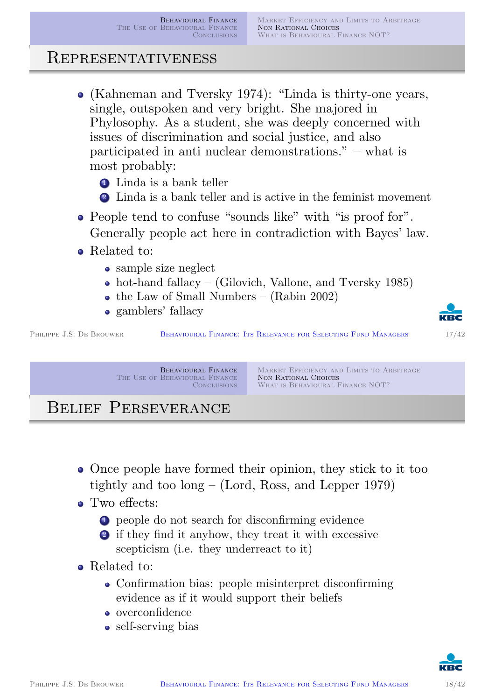#### Representativeness

- (Kahneman and Tversky 1974): "Linda is thirty-one years, single, outspoken and very bright. She majored in Phylosophy. As a student, she was deeply concerned with issues of discrimination and social justice, and also participated in anti nuclear demonstrations." – what is most probably:
	- **1** Linda is a bank teller
	- <sup>2</sup> Linda is a bank teller and is active in the feminist movement
- People tend to confuse "sounds like" with "is proof for". Generally people act here in contradiction with Bayes' law.
- Related to:
	- sample size neglect
	- hot-hand fallacy (Gilovich, Vallone, and Tversky 1985)
	- the Law of Small Numbers (Rabin 2002)
	- gamblers' fallacy

PHILIPPE J.S. DE BROUWER BEHAVIOURAL FINANCE: ITS RELEVANCE FOR SELECTING FUND MANAGERS 17/42

Behavioural Finance The Use of Behavioural Finance **CONCLUSIONS** 

Market Efficiency and Limits to Arbitrage NON RATIONAL CHOICES WHAT IS BEHAVIOURAL FINANCE NOT?

# Belief Perseverance

Once people have formed their opinion, they stick to it too [tightly and](#page-13-0) [too long – \(Lord, Ross, an](#page-6-0)d Lepper 1979)

#### • Two effects:

- <sup>1</sup> people do not search for disconfirming evidence
- <sup>2</sup> [if they fin](#page-18-5)d it anyhow, they treat it with excessive scepticism (i.e. they underreact to it)
- Related [to:](#page-18-6)
	- Confirmation bias: people misinterpret disconfirming evidence as if it would support their beliefs
	- overconfidence
	- self-serving bias

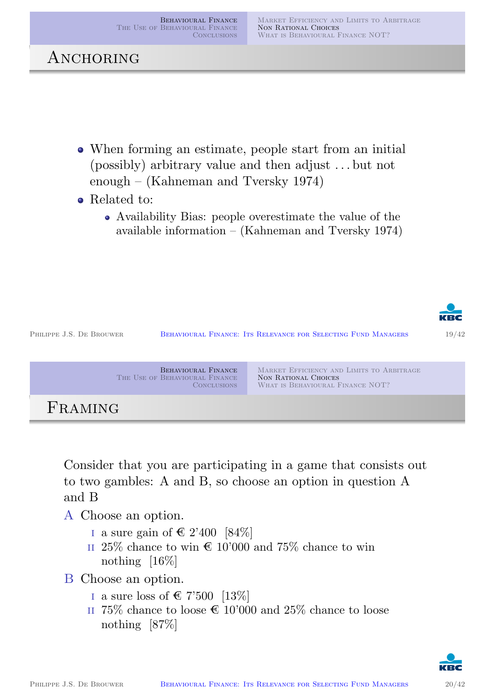

```
Behavioural Finance
                The Use of Behavioural Finance
                                  CONCLUSIONS
                                                  Market Efficiency and Limits to Arbitrage
                                                  NON RATIONAL CHOICES
                                                  WHAT IS BEHAVIOURAL FINANCE NOT?
FRAMING
```
Consider that you are participating in a game that consists out [to](#page-1-0)[two](#page-1-0)[gambles:](#page-1-0)[A](#page-1-0)[and](#page-1-0)[B,](#page-1-0)[so](#page-1-0)[choose](#page-1-0)[an](#page-1-0)[op](#page-1-0)tion in question A and B

- A Choose an option.
	- I a sure gain of  $\in$  2'400 [84%]
	- $\scriptstyle\rm II$  25% chance to win  $\mathop{\mathsf{C}}$  10'000 and 75% chance to win nothing  $[16\%]$
- B Choose an option.
	- i [a sure loss of](#page-18-5)  $\in 7'500$  [13\%]
	- $\scriptstyle\rm II$  75% chance to loose  $\mathop{\mathsf{C}}$  10'000 and 25% chance to loose nothing [\[87%\]](#page-18-5)

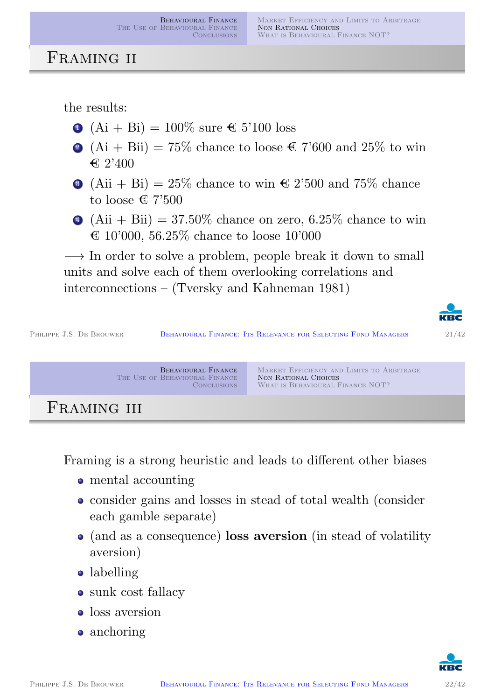#### FRAMING II

the results:

- $\bullet$  (Ai + Bi) = 100\% sure  $\in$  5'100 loss
- 2 (Ai + Bii) = 75% chance to loose  $\text{\textsterling}$  7'600 and 25% to win  $\epsilon$  2'400
- $\bullet$  (Aii + Bi) = 25% chance to win  $\in$  2'500 and 75% chance to loose  $\in 7'500$
- $\triangleleft$  (Aii + Bii) = 37.50% chance on zero, 6.25% chance to win  $\&$  10'000, 56.25% chance to loose 10'000

 $\rightarrow$  In order to solve a problem, people break it down to small units and solve each of them overlooking correlations and interconnections – (Tversky and Kahneman 1981)



Framing is a strong heuristic and leads to different other biases

- [mental accounting](#page-1-0)
- consider gains and losses in stead of total wealth (consider each gamble separate)
- (and as a consequence) loss aversion (in stead of volatility aversion)
- labelling
- sunk cost fallacy
- loss aversion
- anchoring

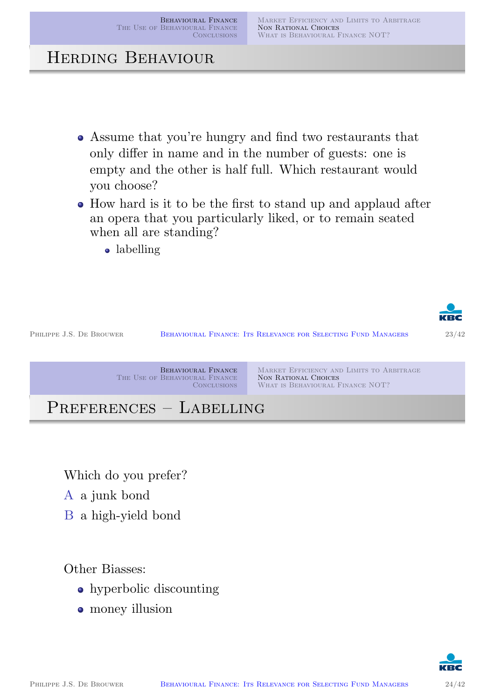MARKET EFFICIENCY AND LIMITS TO ARBITRAGE NON RATIONAL CHOICES WHAT IS BEHAVIOURAL FINANCE NOT?

### Herding Behaviour

- Assume that you're hungry and find two restaurants that only differ in name and in the number of guests: one is empty and the other is half full. Which restaurant would you choose?
- How hard is it to be the first to stand up and applaud after an opera that you particularly liked, or to remain seated when all are standing?
	- labelling



[Which do you prefer?](#page-1-0)

- A [a junk bond](#page-16-0)
- B a high-yield bond

Other Biasses:

- hyperbolic discounting
- money illusion

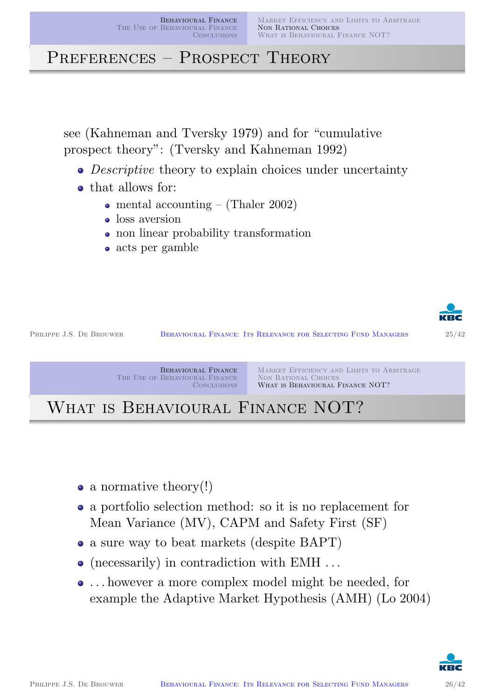Behavioural Finance The Use of Behavioural Finance CONCLUSIONS

MARKET EFFICIENCY AND LIMITS TO ARBITRAGE NON RATIONAL CHOICES WHAT IS BEHAVIOURAL FINANCE NOT?

PREFERENCES – PROSPECT THEORY

see (Kahneman and Tversky 1979) and for "cumulative prospect theory": (Tversky and Kahneman 1992)

- Descriptive theory to explain choices under uncertainty
- that allows for:
	- mental accounting (Thaler 2002)
	- loss aversion
	- non linear probability transformation
	- acts per gamble



PHILIPPE J.S. DE BROUWER BEHAVIOURAL FINANCE: ITS RELEVANCE FOR SELECTING FUND MANAGERS 25/42



# WHAT IS BEHAVIOURAL FINANCE NOT?

- [a](#page-13-0)[normativ](#page-13-0)[e](#page-6-0) theory!)
- a portfolio selection method: so it is no replacement for Mean Variance (MV), CAPM and Safety First (SF)
- a sure way to beat markets (despite BAPT)
- [\(necessarily](#page-18-1)[\) in contrad](#page-19-5)iction with EMH ...
- . . . however a more complex model might be needed, for example [the Ada](#page-19-6)ptive Market Hypothesis (AMH) (Lo 2004)

<span id="page-12-0"></span>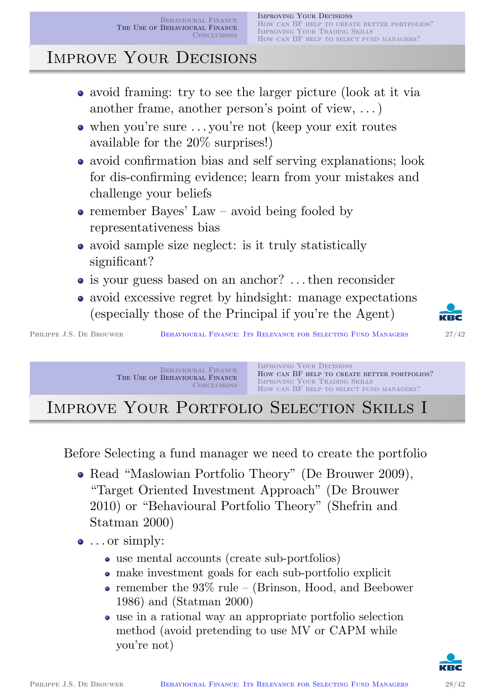# Improve Your Decisions

- avoid framing: try to see the larger picture (look at it via another frame, another person's point of view, . . . )
- when you're sure . . . you're not (keep your exit routes available for the 20% surprises!)
- avoid confirmation bias and self serving explanations; look for dis-confirming evidence; learn from your mistakes and challenge your beliefs
- remember Bayes' Law avoid being fooled by representativeness bias
- avoid sample size neglect: is it truly statistically significant?
- is your guess based on an anchor? ... then reconsider
- avoid excessive regret by hindsight: manage expectations (especially those of the Principal if you're the Agent)

PHILIPPE J.S. DE BROUWER BEHAVIOURAL FINANCE: ITS RELEVANCE FOR SELECTING FUND MANAGERS 27/42

Behavioural Finance The Use of Behavioural Finance **CONCLUSIONS**  Improving Your Decisions How can BF HELP TO CREATE BETTER PORTFOLIOS? Improving Your Trading Skills How can BF HELP TO SELECT FUND MANAGERS?

# Improve Your Portfolio Selection Skills I

Before Selecting a fund manager we need to create the portfolio

- [Read "Ma](#page-1-0)[slowian Portfolio Theory" \(](#page-13-0)De Brouwer 2009), ["Target O](#page-16-0)[riented](#page-14-0)[Investment](#page-14-0)[Approac](#page-14-0)h" (De Brouwer 2010) or "Behavioural Portfolio Theory" (Shefrin and Statman 2000)
- $\bullet$  ... or simply:
	- use mental ac[cou](#page-17-2)[nts \(create sub](#page-17-3)-portfolios)
	- make investment [goals for each](#page-19-2) sub-portfolio explicit
	- remember the  $93\%$  rule (Brinson, Hood, and Beebower 1986) and (Statman 2000)
	- use in a rational way an appropriate portfolio selection method [\(avoid pretending to us](#page-17-4)e MV or CAPM while [you're n](#page-19-7)ot)

<span id="page-13-0"></span>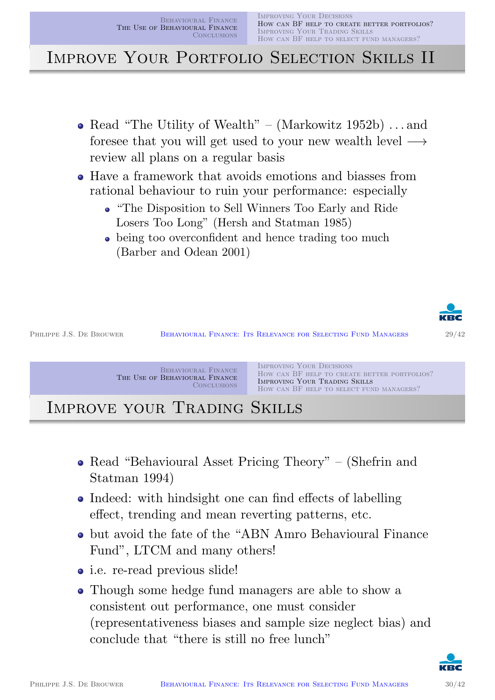Behavioural Finance The Use of Behavioural Finance **CONCLUSIONS** 

Improving Your Decisions How can BF help to create better portfolios? Improving Your Trading Skills How can BF help to select fund managers?

Improve Your Portfolio Selection Skills II

- Read "The Utility of Wealth" (Markowitz  $1952b)$ ) ... and foresee that you will get used to your new wealth level  $\longrightarrow$ review all plans on a regular basis
- Have a framework that avoids emotions and biasses from rational behaviour to ruin your performance: especially
	- "The Disposition to Sell Winners Too Early and Ride Losers Too Long" (Hersh and Statman 1985)
	- being too overconfident and hence trading too much (Barber and Odean 2001)



PHILIPPE J.S. DE BROUWER BEHAVIOURAL FINANCE: ITS RELEVANCE FOR SELECTING FUND MANAGERS 29/42

Behavioural Finance The Use of Behavioural Finance **CONCLUSIONS** 

Improving Your Decisions How can BF help to create better portfolios? Improving Your Trading Skills How can BF HELP TO SELECT FUND MANAGERS?

Improve your Trading Skills

- Read "Behavioural Asset Pricing Theory" (Shefrin and [Statman 1](#page-1-0)[994\)](#page-13-0)
- [Indeed:](#page-16-0) [wi](#page-16-0)[th hindsight one can find e](#page-15-0)ffects of labelling effect, trending and mean reverting patterns, etc.
- but avoid the fate of the "ABN Amro Behavioural Finance [F](#page-19-8)und", LTCM [and many o](#page-18-0)[thers!](#page-19-8)
- i.e. re-read previous slide!
- Though some hedge fund managers are able to show a consistent out performance, one must consider (repres[entativeness bias](#page-18-7)es and sample size neglect bias) and [conclude th](#page-17-5)at "there is still no free lunch"

<span id="page-14-0"></span>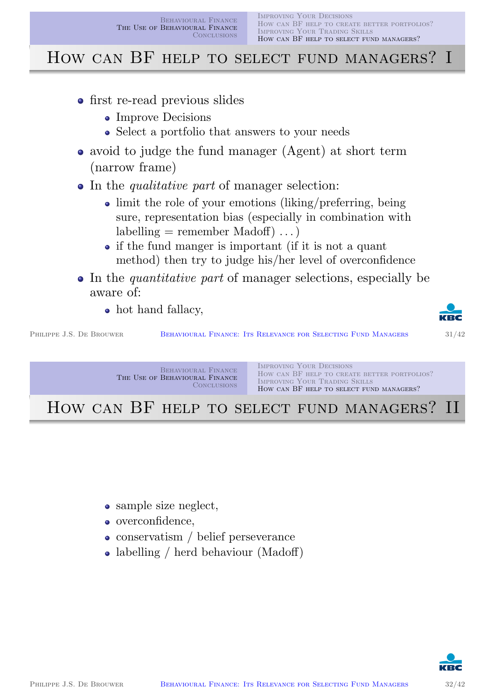### HOW CAN BF HELP TO SELECT FUND MANAGERS? I

- first re-read previous slides
	- Improve Decisions
	- Select a portfolio that answers to your needs
- avoid to judge the fund manager (Agent) at short term (narrow frame)
- In the *qualitative part* of manager selection:
	- limit the role of your emotions (liking/preferring, being sure, representation bias (especially in combination with  $labelling = remember Madoff) \dots$
	- if the fund manger is important (if it is not a quant method) then try to judge his/her level of overconfidence
- In the *quantitative part* of manager selections, especially be aware of:
	- hot hand fallacy,

PHILIPPE J.S. DE BROUWER BEHAVIOURAL FINANCE: ITS RELEVANCE FOR SELECTING FUND MANAGERS 31/42



Behavioural Finance The Use of Behavioural Finance **CONCLUSIONS** Improving Your Decisions How can BF help to create better portfolios? Improving Your Trading Skills How can BF HELP TO SELECT FUND MANAGERS?

HOW CAN BF HELP TO SELECT FUND MANAGERS? II

- sample size neglect,
- overconfidence,
- conservatism / belief perseverance
- labelling / herd behaviour (Madoff)

<span id="page-15-0"></span>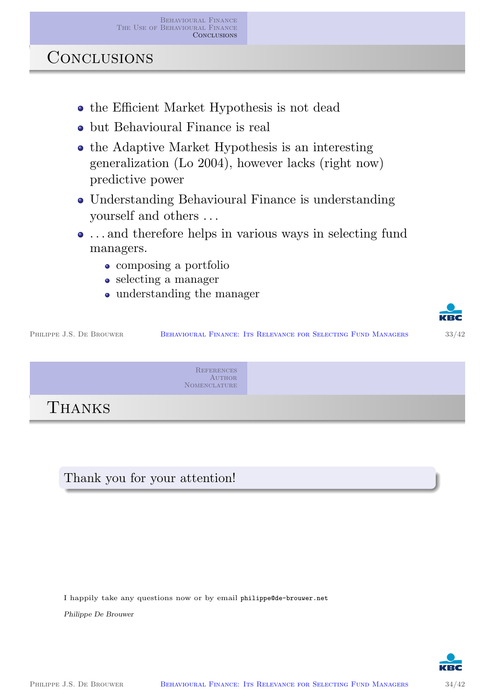**CONCLUSIONS** 

- the Efficient Market Hypothesis is not dead
- but Behavioural Finance is real
- the Adaptive Market Hypothesis is an interesting generalization (Lo 2004), however lacks (right now) predictive power
- Understanding Behavioural Finance is understanding yourself and others . . .
- . . . and therefore helps in various ways in selecting fund managers.
	- composing a portfolio
	- selecting a manager
	- understanding the manager



PHILIPPE J.S. DE BROUWER BEHAVIOURAL FINANCE: ITS RELEVANCE FOR SELECTING FUND MANAGERS 33/42

**REFERENCES AUTHOR** Nomenclature

THANKS

[Thank you for y](#page-1-0)our attention!

I happily take any questions now or by email philippe@de-brouwer.net

Philippe De Brouwer

<span id="page-16-0"></span>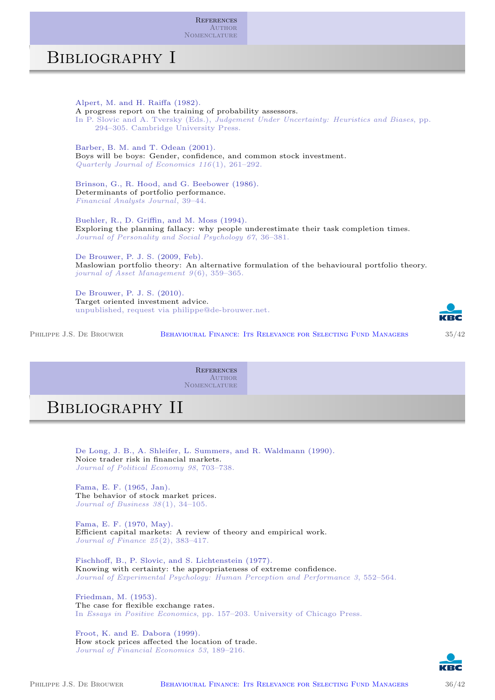**REFERENCES** AUTHOR **NOMENCLATURE** 

#### Bibliography I

Alpert, M. and H. Raiffa (1982). A progress report on the training of probability assessors. In P. Slovic and A. Tversky (Eds.), Judgement Under Uncertainty: Heuristics and Biases, pp. 294–305. Cambridge University Press.

Barber, B. M. and T. Odean (2001). Boys will be boys: Gender, confidence, and common stock investment. Quarterly Journal of Economics 116(1), 261–292.

Brinson, G., R. Hood, and G. Beebower (1986). Determinants of portfolio performance. Financial Analysts Journal, 39–44.

Buehler, R., D. Griffin, and M. Moss (1994). Exploring the planning fallacy: why people underestimate their task completion times. Journal of Personality and Social Psychology 67, 36–381.

De Brouwer, P. J. S. (2009, Feb). Maslowian portfolio theory: An alternative formulation of the behavioural portfolio theory. journal of Asset Management 9(6), 359–365.

De Brouwer, P. J. S. (2010). Target oriented investment advice. unpublished, request via philippe@de-brouwer.net.

PHILIPPE J.S. DE BROUWER BEHAVIOURAL FINANCE: ITS RELEVANCE FOR SELECTING FUND MANAGERS 35/42



**REFERENCES AUTHOR** Nomenclature

### Bibliography II

De Long, J. B., A. Shleifer, L. Summers, and R. Waldmann (1990). Noice trader risk in financial markets. Journal of Political Economy 98, 703–738.

[Fama, E. F. \(1965, J](#page-20-0)an). The behavior of stock market prices. Journal of Business 38(1), 34–105.

Fama, E. F. (1970, May). Efficient capital markets: A review of theory and empirical work. Journal of Finance 25(2), 383–417.

<span id="page-17-5"></span>Fischhoff, B., P. Slovic, and S. Lichtenstein (1977). Knowing with certainty: the appropriateness of extreme confidence. Journal of Experimental Psychology: Human Perception and Performance 3, 552–564.

<span id="page-17-4"></span><span id="page-17-1"></span>Friedman, M. (1953). The case for flexible exchange rates. In Essays in Positive Economics, pp. 157–203. University of Chicago Press.

<span id="page-17-3"></span><span id="page-17-2"></span><span id="page-17-0"></span>Froot, K. and E. Dabora (1999). How stock prices affected the location of trade. Journal of Financial Economics 53, 189–216.

<span id="page-17-6"></span>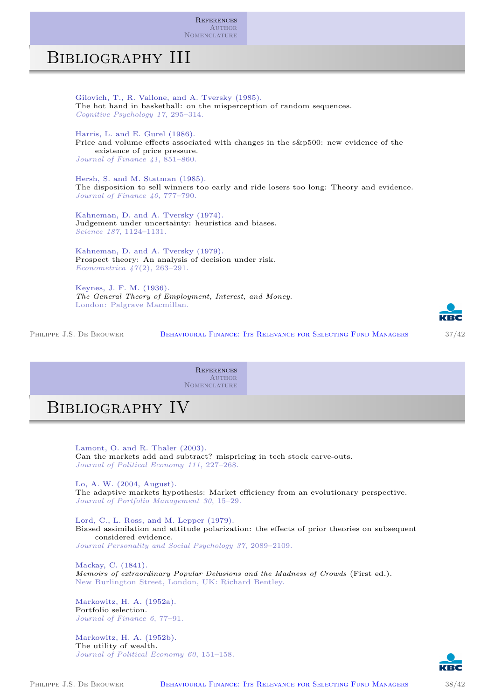**REFERENCES** AUTHOR **NOMENCLATURE** 

#### Bibliography III

Gilovich, T., R. Vallone, and A. Tversky (1985). The hot hand in basketball: on the misperception of random sequences. Cognitive Psychology 17, 295–314.

Harris, L. and E. Gurel (1986). Price and volume effects associated with changes in the s&p500: new evidence of the existence of price pressure. Journal of Finance 41, 851–860.

Hersh, S. and M. Statman (1985). The disposition to sell winners too early and ride losers too long: Theory and evidence. Journal of Finance 40, 777–790.

Kahneman, D. and A. Tversky (1974). Judgement under uncertainty: heuristics and biases. Science 187, 1124–1131.

Kahneman, D. and A. Tversky (1979). Prospect theory: An analysis of decision under risk. Econometrica 47(2), 263–291.

Keynes, J. F. M. (1936). The General Theory of Employment, Interest, and Money. London: Palgrave Macmillan.

PHILIPPE J.S. DE BROUWER BEHAVIOURAL FINANCE: ITS RELEVANCE FOR SELECTING FUND MANAGERS 37/42



**REFERENCES AUTHOR** Nomenclature

### Bibliography IV

Lamont, O. and R. Thaler (2003). Can the markets add and subtract? mispricing in tech stock carve-outs. Journal of Political Economy 111, 227–268.

[Lo, A. W. \(2004, Au](#page-20-0)gust).

[The adaptive marke](#page-20-0)ts hypothesis: Market efficiency from an evolutionary perspective. Journal of Portfolio Management 30, 15–29.

<span id="page-18-4"></span>Lord, C., L. Ross, and M. Lepper (1979). Biased assimilation and attitude polarization: the effects of prior theories on subsequent considered evidence. Journal Personality and Social Psychology 37, 2089–2109.

<span id="page-18-6"></span><span id="page-18-3"></span>Mackay, C. (1841). Memoirs of extraordinary Popular Delusions and the Madness of Crowds (First ed.). New Burlington Street, London, UK: Richard Bentley.

<span id="page-18-7"></span><span id="page-18-5"></span><span id="page-18-2"></span>Markowitz, H. A. (1952a). Portfolio selection. Journal of Finance 6, 77–91.

<span id="page-18-1"></span><span id="page-18-0"></span>Markowitz, H. A. (1952b). The utility of wealth. Journal of Political Economy 60, 151–158.

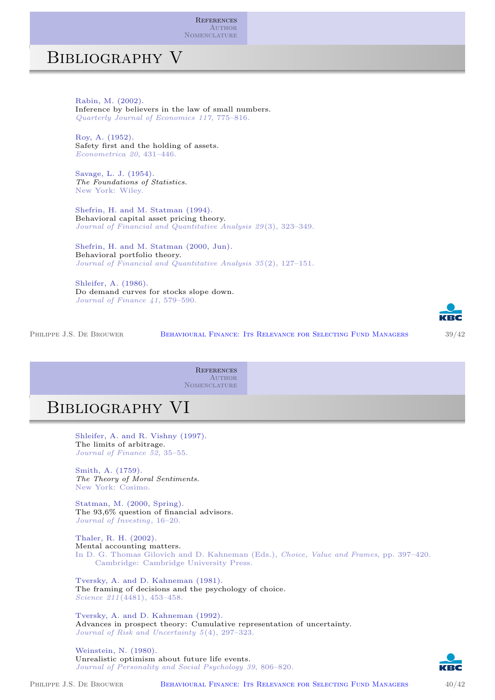**REFERENCES** AUTHOR **NOMENCLATURE** 

#### Bibliography V

Rabin, M. (2002). Inference by believers in the law of small numbers. Quarterly Journal of Economics 117, 775–816.

Roy, A. (1952). Safety first and the holding of assets. Econometrica 20, 431–446.

Savage, L. J. (1954). The Foundations of Statistics. New York: Wiley.

Shefrin, H. and M. Statman (1994). Behavioral capital asset pricing theory. Journal of Financial and Quantitative Analysis 29 (3), 323–349.

Shefrin, H. and M. Statman (2000, Jun). Behavioral portfolio theory. Journal of Financial and Quantitative Analysis 35 (2), 127–151.

Shleifer, A. (1986). Do demand curves for stocks slope down. Journal of Finance 41, 579–590.

PHILIPPE J.S. DE BROUWER BEHAVIOURAL FINANCE: ITS RELEVANCE FOR SELECTING FUND MANAGERS 39/42



**REFERENCES AUTHOR** Nomenclature

## Bibliography VI

Shleifer, A. and R. Vishny (1997). The limits of arbitrage. Journal of Finance 52, 35–55.

Smith, A. (1759). [The Theory of Moral](#page-17-6) Sentiments. [New York: Cosimo.](#page-20-0)

Statman, M. (2000, Spring). The 93,6% question of financial advisors. Journal of Investing, 16–20.

<span id="page-19-9"></span><span id="page-19-1"></span>Thaler, R. H. (2002). Mental accounting matters. In D. G. Thomas Gilovich and D. Kahneman (Eds.), Choice, Value and Frames, pp. 397–420. Cambridge: Cambridge University Press.

<span id="page-19-7"></span><span id="page-19-6"></span><span id="page-19-0"></span>Tversky, A. and D. Kahneman (1981). The framing of decisions and the psychology of choice. Science 211(4481), 453–458.

<span id="page-19-8"></span><span id="page-19-2"></span>Tversky, A. and D. Kahneman (1992). Advances in prospect theory: Cumulative representation of uncertainty. Journal of Risk and Uncertainty 5(4), 297–323.

<span id="page-19-5"></span><span id="page-19-4"></span><span id="page-19-3"></span>Weinstein, N. (1980). Unrealistic optimism about future life events. Journal of Personality and Social Psychology 39, 806–820.